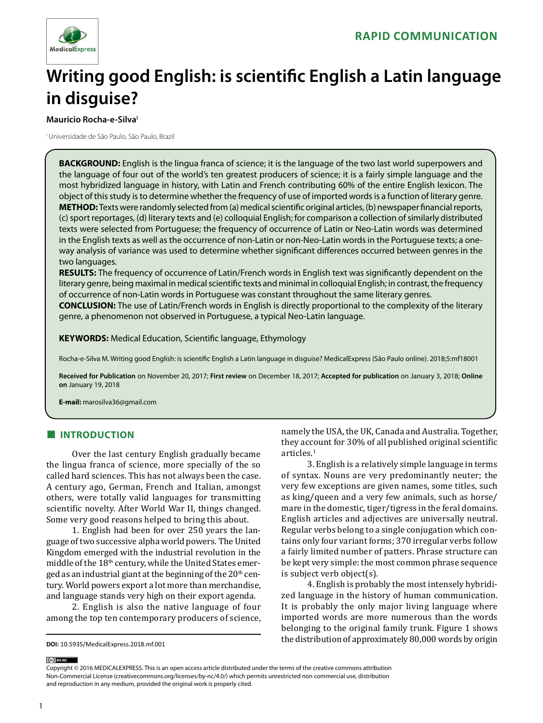

# **Writing good English: is scientific English a Latin language in disguise?**

#### **Mauricio Rocha-e-Silva**

I Universidade de São Paulo, São Paulo, Brazil

**BACKGROUND:** English is the lingua franca of science; it is the language of the two last world superpowers and the language of four out of the world's ten greatest producers of science; it is a fairly simple language and the most hybridized language in history, with Latin and French contributing 60% of the entire English lexicon. The object of this study is to determine whether the frequency of use of imported words is a function of literary genre. **METHOD:** Texts were randomly selected from (a) medical scientific original articles, (b) newspaper financial reports, (c) sport reportages, (d) literary texts and (e) colloquial English; for comparison a collection of similarly distributed texts were selected from Portuguese; the frequency of occurrence of Latin or Neo-Latin words was determined in the English texts as well as the occurrence of non-Latin or non-Neo-Latin words in the Portuguese texts; a oneway analysis of variance was used to determine whether significant differences occurred between genres in the two languages.

**RESULTS:** The frequency of occurrence of Latin/French words in English text was significantly dependent on the literary genre, being maximal in medical scientific texts and minimal in colloquial English; in contrast, the frequency of occurrence of non-Latin words in Portuguese was constant throughout the same literary genres.

**CONCLUSION:** The use of Latin/French words in English is directly proportional to the complexity of the literary genre, a phenomenon not observed in Portuguese, a typical Neo-Latin language.

**KEYWORDS:** Medical Education, Scientific language, Ethymology

Rocha-e-Silva M. Writing good English: is scientific English a Latin language in disguise? MedicalExpress (São Paulo online). 2018;5:mf18001

**Received for Publication** on November 20, 2017; **First review** on December 18, 2017; **Accepted for publication** on January 3, 2018; **Online on** January 19, 2018

**E-mail:** marosilva36@gmail.com

## **■ INTRODUCTION**

Over the last century English gradually became the lingua franca of science, more specially of the so called hard sciences. This has not always been the case. A century ago, German, French and Italian, amongst others, were totally valid languages for transmitting scientific novelty. After World War II, things changed. Some very good reasons helped to bring this about.

1. English had been for over 250 years the language of two successive alpha world powers. The United Kingdom emerged with the industrial revolution in the middle of the 18<sup>th</sup> century, while the United States emerged as an industrial giant at the beginning of the 20<sup>th</sup> century. World powers export a lot more than merchandise, and language stands very high on their export agenda.

2. English is also the native language of four among the top ten contemporary producers of science,

namely the USA, the UK, Canada and Australia. Together, they account for 30% of all published original scientific articles.<sup>1</sup>

3. English is a relatively simple language in terms of syntax. Nouns are very predominantly neuter; the very few exceptions are given names, some titles, such as king/queen and a very few animals, such as horse/ mare in the domestic, tiger/tigress in the feral domains. English articles and adjectives are universally neutral. Regular verbs belong to a single conjugation which contains only four variant forms; 370 irregular verbs follow a fairly limited number of patters. Phrase structure can be kept very simple: the most common phrase sequence is subject verb object(s).

4. English is probably the most intensely hybridized language in the history of human communication. It is probably the only major living language where imported words are more numerous than the words belonging to the original family trunk. Figure 1 shows the distribution of approximately 80,000 words by origin

(ce) BY-NC

Copyright © 2016 MEDICALEXPRESS. This is an open access article distributed under the terms of the creative commons attribution Non-Commercial License [\(creativecommons.org/licenses/by-nc/4.0/\)](http://creativecommons.org/licenses/by-nc/3.0/) which permits unrestricted non commercial use, distribution and reproduction in any medium, provided the original work is properly cited.

**DOI:** 10.5935/MedicalExpress.2018.mf.001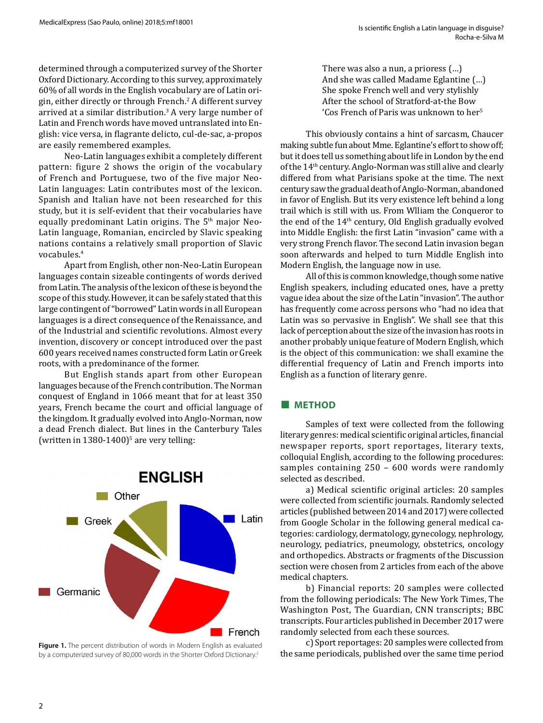determined through a computerized survey of the Shorter Oxford Dictionary. According to this survey, approximately 60% of all words in the English vocabulary are of Latin origin, either directly or through French.<sup>2</sup> A different survey arrived at a similar distribution.<sup>3</sup> A very large number of Latin and French words have moved untranslated into English: vice versa, in flagrante delicto, cul-de-sac, a-propos are easily remembered examples.

Neo-Latin languages exhibit a completely different pattern: figure 2 shows the origin of the vocabulary of French and Portuguese, two of the five major Neo-Latin languages: Latin contributes most of the lexicon. Spanish and Italian have not been researched for this study, but it is self-evident that their vocabularies have equally predominant Latin origins. The 5th major Neo-Latin language, Romanian, encircled by Slavic speaking nations contains a relatively small proportion of Slavic vocabules.<sup>4</sup>

Apart from English, other non-Neo-Latin European languages contain sizeable contingents of words derived from Latin. The analysis of the lexicon of these is beyond the scope of this study. However, it can be safely stated that this large contingent of "borrowed" Latin words in all European languages is a direct consequence of the Renaissance, and of the Industrial and scientific revolutions. Almost every invention, discovery or concept introduced over the past 600 years received names constructed form Latin or Greek roots, with a predominance of the former.

But English stands apart from other European languages because of the French contribution. The Norman conquest of England in 1066 meant that for at least 350 years, French became the court and official language of the kingdom. It gradually evolved into Anglo-Norman, now a dead French dialect. But lines in the Canterbury Tales (written in  $1380-1400$ )<sup>5</sup> are very telling:



Figure 1. The percent distribution of words in Modern English as evaluated by a computerized survey of 80,000 words in the Shorter Oxford Dictionary.2

There was also a nun, a prioress (…) And she was called Madame Eglantine (…) She spoke French well and very stylishly After the school of Stratford-at-the Bow 'Cos French of Paris was unknown to her<sup>5</sup>

This obviously contains a hint of sarcasm, Chaucer making subtle fun about Mme. Eglantine's effort to show off; but it does tell us something about life in London by the end of the 14th century. Anglo-Norman was still alive and clearly differed from what Parisians spoke at the time. The next century saw the gradual death of Anglo-Norman, abandoned in favor of English. But its very existence left behind a long trail which is still with us. From Wlliam the Conqueror to the end of the  $14<sup>th</sup>$  century, Old English gradually evolved into Middle English: the first Latin "invasion" came with a very strong French flavor. The second Latin invasion began soon afterwards and helped to turn Middle English into Modern English, the language now in use.

All of this is common knowledge, though some native English speakers, including educated ones, have a pretty vague idea about the size of the Latin "invasion". The author has frequently come across persons who "had no idea that Latin was so pervasive in English". We shall see that this lack of perception about the size of the invasion has roots in another probably unique feature of Modern English, which is the object of this communication: we shall examine the differential frequency of Latin and French imports into English as a function of literary genre.

#### **■ METHOD**

Samples of text were collected from the following literary genres: medical scientific original articles, financial newspaper reports, sport reportages, literary texts, colloquial English, according to the following procedures: samples containing 250 – 600 words were randomly selected as described.

a) Medical scientific original articles: 20 samples were collected from scientific journals. Randomly selected articles (published between 2014 and 2017) were collected from Google Scholar in the following general medical categories: cardiology, dermatology, gynecology, nephrology, neurology, pediatrics, pneumology, obstetrics, oncology and orthopedics. Abstracts or fragments of the Discussion section were chosen from 2 articles from each of the above medical chapters.

b) Financial reports: 20 samples were collected from the following periodicals: The New York Times, The Washington Post, The Guardian, CNN transcripts; BBC transcripts. Four articles published in December 2017 were randomly selected from each these sources.

c) Sport reportages: 20 samples were collected from the same periodicals, published over the same time period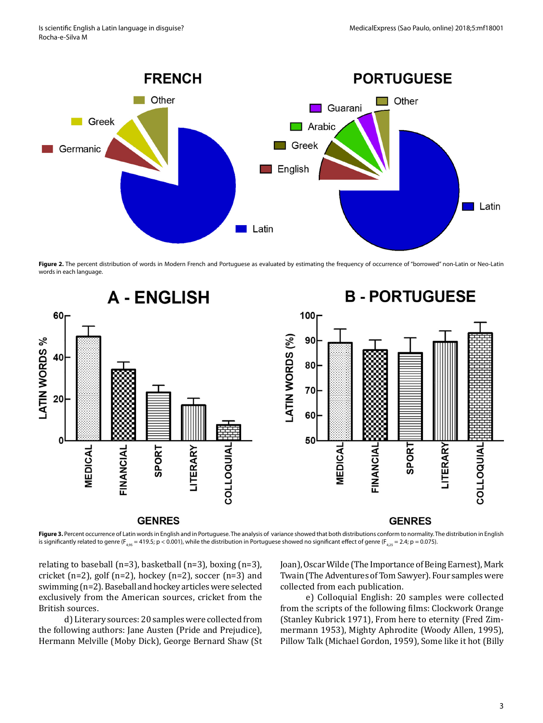

Figure 2. The percent distribution of words in Modern French and Portuguese as evaluated by estimating the frequency of occurrence of "borrowed" non-Latin or Neo-Latin words in each language.



**Figure 3.** Percent occurrence of Latin words in English and in Portuguese. The analysis of variance showed that both distributions conform to normality. The distribution in English is significantly related to genre (F<sub>4.95</sub> = 419.5; p < 0.001), while the distribution in Portuguese showed no significant effect of genre (F<sub>4.25</sub> = 2.4; p = 0.075).

relating to baseball (n=3), basketball (n=3), boxing (n=3), cricket (n=2), golf (n=2), hockey (n=2), soccer (n=3) and swimming (n=2). Baseball and hockey articles were selected exclusively from the American sources, cricket from the British sources.

d) Literary sources: 20 samples were collected from the following authors: Jane Austen (Pride and Prejudice), Hermann Melville (Moby Dick), George Bernard Shaw (St Joan), Oscar Wilde (The Importance of Being Earnest), Mark Twain (The Adventures of Tom Sawyer). Four samples were collected from each publication.

e) Colloquial English: 20 samples were collected from the scripts of the following films: Clockwork Orange (Stanley Kubrick 1971), From here to eternity (Fred Zimmermann 1953), Mighty Aphrodite (Woody Allen, 1995), Pillow Talk (Michael Gordon, 1959), Some like it hot (Billy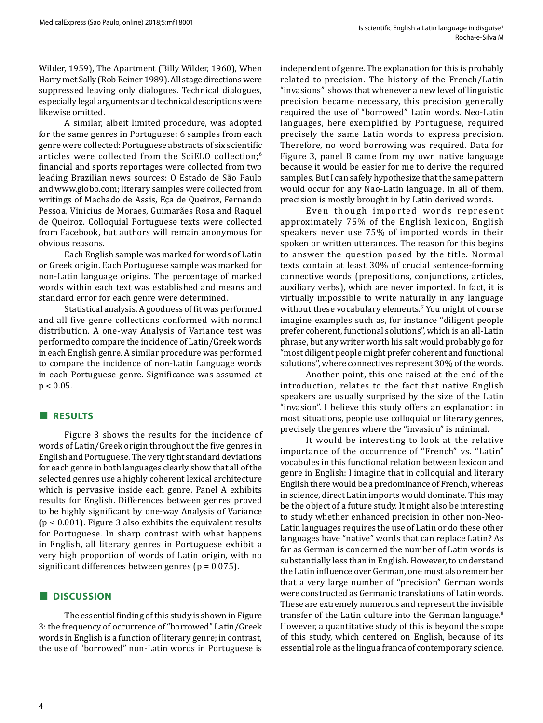Wilder, 1959), The Apartment (Billy Wilder, 1960), When Harry met Sally (Rob Reiner 1989). All stage directions were suppressed leaving only dialogues. Technical dialogues, especially legal arguments and technical descriptions were likewise omitted.

A similar, albeit limited procedure, was adopted for the same genres in Portuguese: 6 samples from each genre were collected: Portuguese abstracts of six scientific articles were collected from the SciELO collection;<sup>6</sup> financial and sports reportages were collected from two leading Brazilian news sources: O Estado de São Paulo and www.globo.com; literary samples were collected from writings of Machado de Assis, Eça de Queiroz, Fernando Pessoa, Vinicius de Moraes, Guimarães Rosa and Raquel de Queiroz. Colloquial Portuguese texts were collected from Facebook, but authors will remain anonymous for obvious reasons.

Each English sample was marked for words of Latin or Greek origin. Each Portuguese sample was marked for non-Latin language origins. The percentage of marked words within each text was established and means and standard error for each genre were determined.

Statistical analysis. A goodness of fit was performed and all five genre collections conformed with normal distribution. A one-way Analysis of Variance test was performed to compare the incidence of Latin/Greek words in each English genre. A similar procedure was performed to compare the incidence of non-Latin Language words in each Portuguese genre. Significance was assumed at  $p < 0.05$ .

#### **■ RESULTS**

Figure 3 shows the results for the incidence of words of Latin/Greek origin throughout the five genres in English and Portuguese. The very tight standard deviations for each genre in both languages clearly show that all of the selected genres use a highly coherent lexical architecture which is pervasive inside each genre. Panel A exhibits results for English. Differences between genres proved to be highly significant by one-way Analysis of Variance (p < 0.001). Figure 3 also exhibits the equivalent results for Portuguese. In sharp contrast with what happens in English, all literary genres in Portuguese exhibit a very high proportion of words of Latin origin, with no significant differences between genres ( $p = 0.075$ ).

#### **■ DISCUSSION**

The essential finding of this study is shown in Figure 3: the frequency of occurrence of "borrowed" Latin/Greek words in English is a function of literary genre; in contrast, the use of "borrowed" non-Latin words in Portuguese is

independent of genre. The explanation for this is probably related to precision. The history of the French/Latin "invasions" shows that whenever a new level of linguistic precision became necessary, this precision generally required the use of "borrowed" Latin words. Neo-Latin languages, here exemplified by Portuguese, required precisely the same Latin words to express precision. Therefore, no word borrowing was required. Data for Figure 3, panel B came from my own native language because it would be easier for me to derive the required samples. But I can safely hypothesize that the same pattern would occur for any Nao-Latin language. In all of them, precision is mostly brought in by Latin derived words.

Even though imported words represent approximately 75% of the English lexicon, English speakers never use 75% of imported words in their spoken or written utterances. The reason for this begins to answer the question posed by the title. Normal texts contain at least 30% of crucial sentence-forming connective words (prepositions, conjunctions, articles, auxiliary verbs), which are never imported. In fact, it is virtually impossible to write naturally in any language without these vocabulary elements.<sup>7</sup> You might of course imagine examples such as, for instance "diligent people prefer coherent, functional solutions", which is an all-Latin phrase, but any writer worth his salt would probably go for "most diligent people might prefer coherent and functional solutions", where connectives represent 30% of the words.

Another point, this one raised at the end of the introduction, relates to the fact that native English speakers are usually surprised by the size of the Latin "invasion". I believe this study offers an explanation: in most situations, people use colloquial or literary genres, precisely the genres where the "invasion" is minimal.

It would be interesting to look at the relative importance of the occurrence of "French" vs. "Latin" vocabules in this functional relation between lexicon and genre in English: I imagine that in colloquial and literary English there would be a predominance of French, whereas in science, direct Latin imports would dominate. This may be the object of a future study. It might also be interesting to study whether enhanced precision in other non-Neo-Latin languages requires the use of Latin or do these other languages have "native" words that can replace Latin? As far as German is concerned the number of Latin words is substantially less than in English. However, to understand the Latin influence over German, one must also remember that a very large number of "precision" German words were constructed as Germanic translations of Latin words. These are extremely numerous and represent the invisible transfer of the Latin culture into the German language.<sup>8</sup> However, a quantitative study of this is beyond the scope of this study, which centered on English, because of its essential role as the lingua franca of contemporary science.